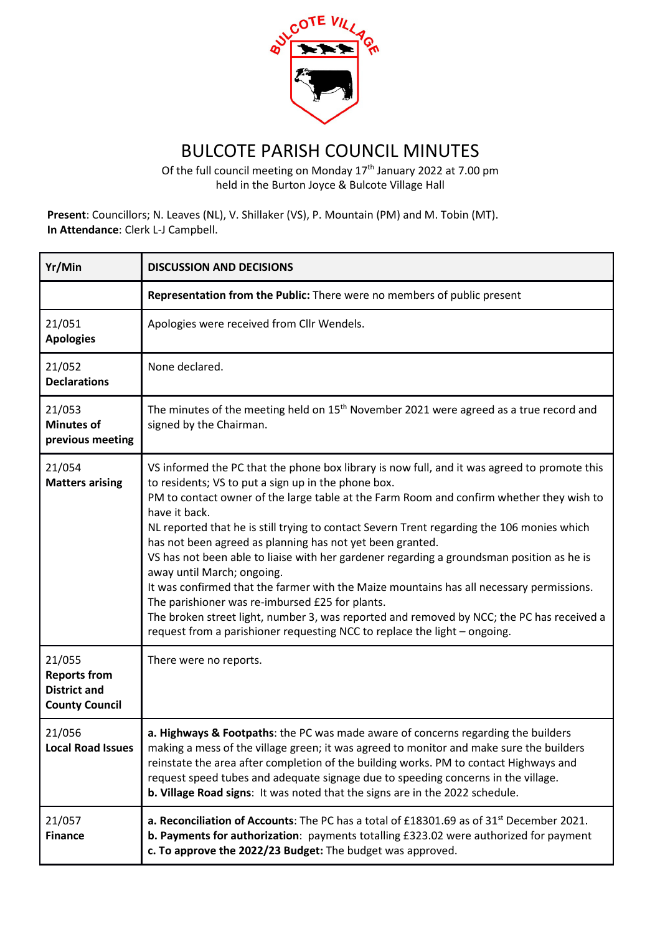

## BULCOTE PARISH COUNCIL MINUTES

Of the full council meeting on Monday  $17<sup>th</sup>$  January 2022 at 7.00 pm held in the Burton Joyce & Bulcote Village Hall

**Present**: Councillors; N. Leaves (NL), V. Shillaker (VS), P. Mountain (PM) and M. Tobin (MT). **In Attendance**: Clerk L-J Campbell.

| Yr/Min                                                                        | <b>DISCUSSION AND DECISIONS</b>                                                                                                                                                                                                                                                                                                                                                                                                                                                                                                                                                                                                                                                                                                                                                                                                                                                 |
|-------------------------------------------------------------------------------|---------------------------------------------------------------------------------------------------------------------------------------------------------------------------------------------------------------------------------------------------------------------------------------------------------------------------------------------------------------------------------------------------------------------------------------------------------------------------------------------------------------------------------------------------------------------------------------------------------------------------------------------------------------------------------------------------------------------------------------------------------------------------------------------------------------------------------------------------------------------------------|
|                                                                               | Representation from the Public: There were no members of public present                                                                                                                                                                                                                                                                                                                                                                                                                                                                                                                                                                                                                                                                                                                                                                                                         |
| 21/051<br><b>Apologies</b>                                                    | Apologies were received from Cllr Wendels.                                                                                                                                                                                                                                                                                                                                                                                                                                                                                                                                                                                                                                                                                                                                                                                                                                      |
| 21/052<br><b>Declarations</b>                                                 | None declared.                                                                                                                                                                                                                                                                                                                                                                                                                                                                                                                                                                                                                                                                                                                                                                                                                                                                  |
| 21/053<br><b>Minutes of</b><br>previous meeting                               | The minutes of the meeting held on 15 <sup>th</sup> November 2021 were agreed as a true record and<br>signed by the Chairman.                                                                                                                                                                                                                                                                                                                                                                                                                                                                                                                                                                                                                                                                                                                                                   |
| 21/054<br><b>Matters arising</b>                                              | VS informed the PC that the phone box library is now full, and it was agreed to promote this<br>to residents; VS to put a sign up in the phone box.<br>PM to contact owner of the large table at the Farm Room and confirm whether they wish to<br>have it back.<br>NL reported that he is still trying to contact Severn Trent regarding the 106 monies which<br>has not been agreed as planning has not yet been granted.<br>VS has not been able to liaise with her gardener regarding a groundsman position as he is<br>away until March; ongoing.<br>It was confirmed that the farmer with the Maize mountains has all necessary permissions.<br>The parishioner was re-imbursed £25 for plants.<br>The broken street light, number 3, was reported and removed by NCC; the PC has received a<br>request from a parishioner requesting NCC to replace the light - ongoing. |
| 21/055<br><b>Reports from</b><br><b>District and</b><br><b>County Council</b> | There were no reports.                                                                                                                                                                                                                                                                                                                                                                                                                                                                                                                                                                                                                                                                                                                                                                                                                                                          |
| 21/056<br>Local Road Issues                                                   | a. Highways & Footpaths: the PC was made aware of concerns regarding the builders<br>making a mess of the village green; it was agreed to monitor and make sure the builders<br>reinstate the area after completion of the building works. PM to contact Highways and<br>request speed tubes and adequate signage due to speeding concerns in the village.<br>b. Village Road signs: It was noted that the signs are in the 2022 schedule.                                                                                                                                                                                                                                                                                                                                                                                                                                      |
| 21/057<br><b>Finance</b>                                                      | a. Reconciliation of Accounts: The PC has a total of £18301.69 as of 31 <sup>st</sup> December 2021.<br>b. Payments for authorization: payments totalling £323.02 were authorized for payment<br>c. To approve the 2022/23 Budget: The budget was approved.                                                                                                                                                                                                                                                                                                                                                                                                                                                                                                                                                                                                                     |